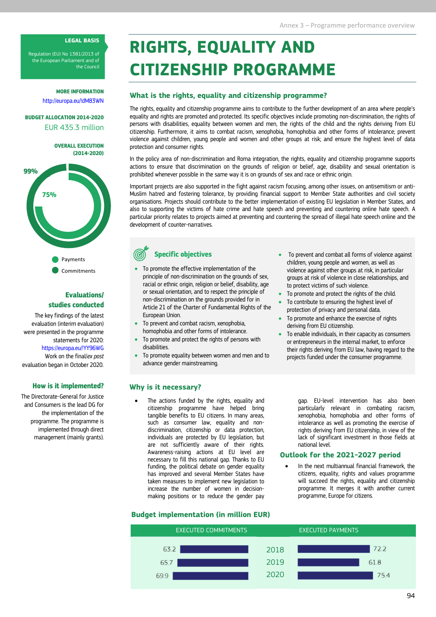#### LEGAL BASIS

Regulation (EU) No 1381/2013 of the European Parliament and of the Council

> MORE INFORMATION http://europa.eu/!dM83WN

## BUDGET ALLOCATION 2014-2020 EUR 435.3 million

OVERALL EXECUTION (2014-2020)



# Evaluations/ studies conducted

The key findings of the latest evaluation (interim evaluation) were presented in the programme statements for 2020: https://europa.eu/!YY96WG Work on the final/ex post evaluation began in October 2020.

#### How is it implemented?

The Directorate-General for Justice and Consumers is the lead DG for the implementation of the programme. The programme is implemented through direct management (mainly grants).

# RIGHTS, EQUALITY AND CITIZENSHIP PROGRAMME

#### What is the rights, equality and citizenship programme?

The rights, equality and citizenship programme aims to contribute to the further development of an area where people's equality and rights are promoted and protected. Its specific objectives include promoting non-discrimination, the rights of persons with disabilities, equality between women and men, the rights of the child and the rights deriving from EU citizenship. Furthermore, it aims to combat racism, xenophobia, homophobia and other forms of intolerance; prevent violence against children, young people and women and other groups at risk; and ensure the highest level of data protection and consumer rights.

In the policy area of non-discrimination and Roma integration, the rights, equality and citizenship programme supports actions to ensure that discrimination on the grounds of religion or belief, age, disability and sexual orientation is prohibited whenever possible in the same way it is on grounds of sex and race or ethnic origin.

75% Muslim hatred and fostering tolerance, by providing financial support to Member State authorities and civil society Important projects are also supported in the fight against racism focusing, among other issues, on antisemitism or antiorganisations. Projects should contribute to the better implementation of existing EU legislation in Member States, and also to supporting the victims of hate crime and hate speech and preventing and countering online hate speech. A particular priority relates to projects aimed at preventing and countering the spread of illegal hate speech online and the development of counter-narratives.

Specific objectives

- To promote the effective implementation of the principle of non-discrimination on the grounds of sex, racial or ethnic origin, religion or belief, disability, age or sexual orientation, and to respect the principle of non-discrimination on the grounds provided for in Article 21 of the Charter of Fundamental Rights of the European Union.
- To prevent and combat racism, xenophobia, homophobia and other forms of intolerance.
- To promote and protect the rights of persons with disabilities.
- To promote equality between women and men and to advance gender mainstreaming.
- To prevent and combat all forms of violence against children, young people and women, as well as violence against other groups at risk, in particular groups at risk of violence in close relationships, and to protect victims of such violence.
- To promote and protect the rights of the child.
- To contribute to ensuring the highest level of protection of privacy and personal data.
- To promote and enhance the exercise of rights deriving from EU citizenship.
- To enable individuals, in their capacity as consumers or entrepreneurs in the internal market, to enforce their rights deriving from EU law, having regard to the projects funded under the consumer programme.

### Why is it necessary?

 The actions funded by the rights, equality and citizenship programme have helped bring tangible benefits to EU citizens. In many areas, such as consumer law, equality and nondiscrimination, citizenship or data protection, individuals are protected by EU legislation, but are not sufficiently aware of their rights. Awareness-raising actions at EU level are necessary to fill this national gap. Thanks to EU funding, the political debate on gender equality has improved and several Member States have taken measures to implement new legislation to increase the number of women in decisionmaking positions or to reduce the gender pay

gap. EU-level intervention has also been particularly relevant in combating racism, xenophobia, homophobia and other forms of intolerance as well as promoting the exercise of rights deriving from EU citizenship, in view of the lack of significant investment in those fields at national level.

#### Outlook for the 2021-2027 period

 In the next multiannual financial framework, the citizens, equality, rights and values programme will succeed the rights, equality and citizenship programme. It merges it with another current programme, Europe for citizens.

# Budget implementation (in million EUR)